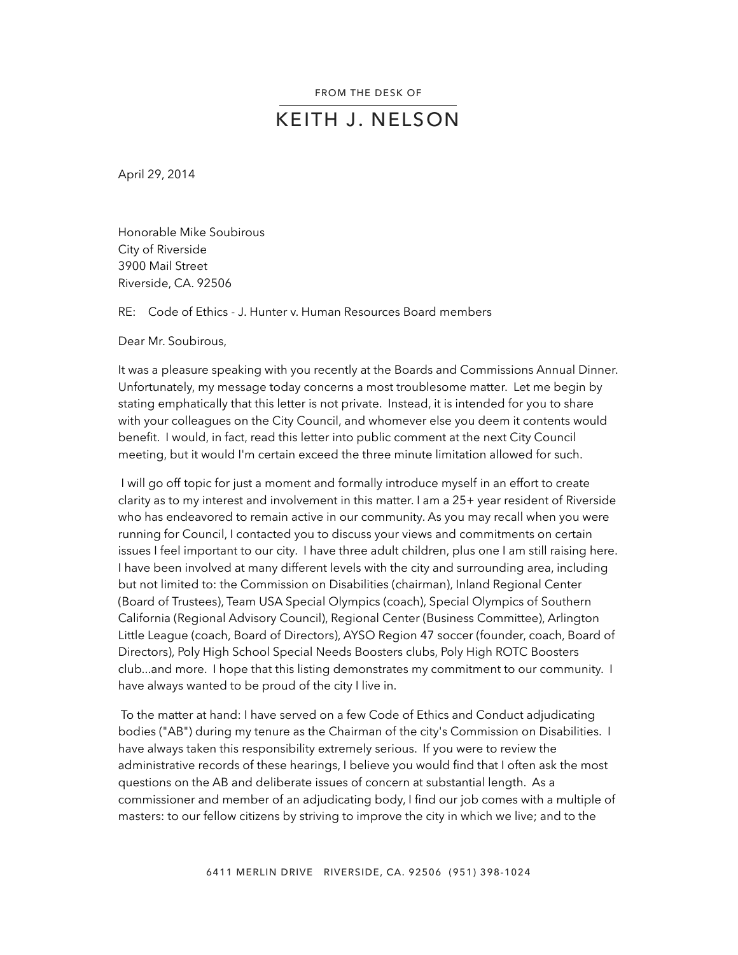## KEITH J. NELSON

April 29, 2014

Honorable Mike Soubirous City of Riverside 3900 Mail Street Riverside, CA. 92506

RE: Code of Ethics - J. Hunter v. Human Resources Board members

Dear Mr. Soubirous,

It was a pleasure speaking with you recently at the Boards and Commissions Annual Dinner. Unfortunately, my message today concerns a most troublesome matter. Let me begin by stating emphatically that this letter is not private. Instead, it is intended for you to share with your colleagues on the City Council, and whomever else you deem it contents would benefit. I would, in fact, read this letter into public comment at the next City Council meeting, but it would I'm certain exceed the three minute limitation allowed for such.

 I will go off topic for just a moment and formally introduce myself in an effort to create clarity as to my interest and involvement in this matter. I am a 25+ year resident of Riverside who has endeavored to remain active in our community. As you may recall when you were running for Council, I contacted you to discuss your views and commitments on certain issues I feel important to our city. I have three adult children, plus one I am still raising here. I have been involved at many different levels with the city and surrounding area, including but not limited to: the Commission on Disabilities (chairman), Inland Regional Center (Board of Trustees), Team USA Special Olympics (coach), Special Olympics of Southern California (Regional Advisory Council), Regional Center (Business Committee), Arlington Little League (coach, Board of Directors), AYSO Region 47 soccer (founder, coach, Board of Directors), Poly High School Special Needs Boosters clubs, Poly High ROTC Boosters club...and more. I hope that this listing demonstrates my commitment to our community. I have always wanted to be proud of the city I live in.

 To the matter at hand: I have served on a few Code of Ethics and Conduct adjudicating bodies ("AB") during my tenure as the Chairman of the city's Commission on Disabilities. I have always taken this responsibility extremely serious. If you were to review the administrative records of these hearings, I believe you would find that I often ask the most questions on the AB and deliberate issues of concern at substantial length. As a commissioner and member of an adjudicating body, I find our job comes with a multiple of masters: to our fellow citizens by striving to improve the city in which we live; and to the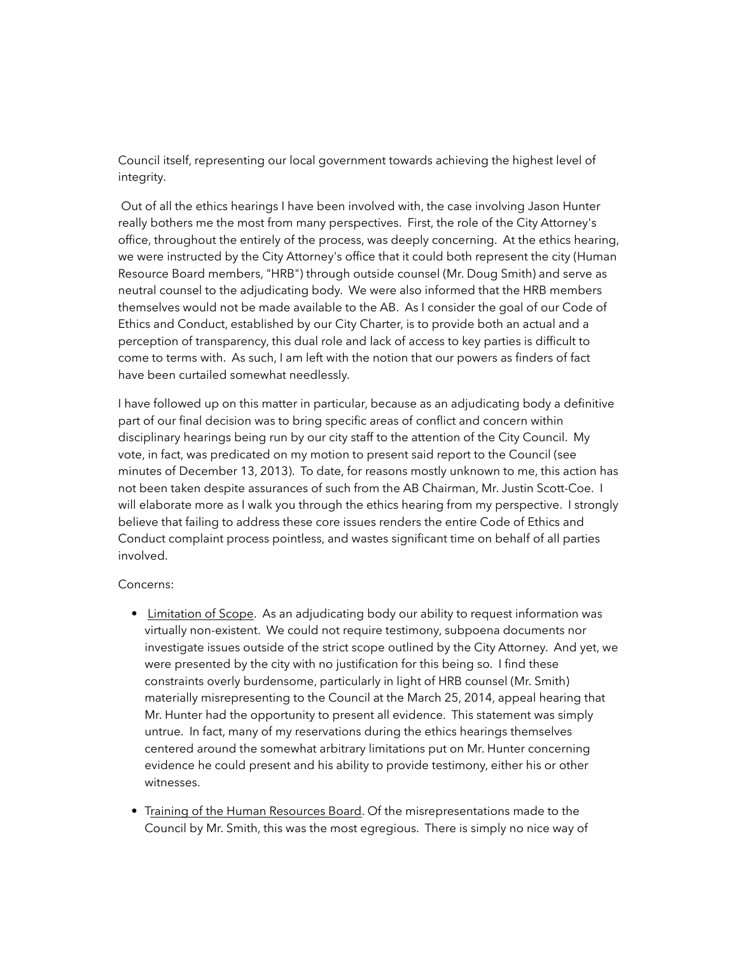Council itself, representing our local government towards achieving the highest level of integrity.

 Out of all the ethics hearings I have been involved with, the case involving Jason Hunter really bothers me the most from many perspectives. First, the role of the City Attorney's office, throughout the entirely of the process, was deeply concerning. At the ethics hearing, we were instructed by the City Attorney's office that it could both represent the city (Human Resource Board members, "HRB") through outside counsel (Mr. Doug Smith) and serve as neutral counsel to the adjudicating body. We were also informed that the HRB members themselves would not be made available to the AB. As I consider the goal of our Code of Ethics and Conduct, established by our City Charter, is to provide both an actual and a perception of transparency, this dual role and lack of access to key parties is difficult to come to terms with. As such, I am left with the notion that our powers as finders of fact have been curtailed somewhat needlessly.

I have followed up on this matter in particular, because as an adjudicating body a definitive part of our final decision was to bring specific areas of conflict and concern within disciplinary hearings being run by our city staff to the attention of the City Council. My vote, in fact, was predicated on my motion to present said report to the Council (see minutes of December 13, 2013). To date, for reasons mostly unknown to me, this action has not been taken despite assurances of such from the AB Chairman, Mr. Justin Scott-Coe. I will elaborate more as I walk you through the ethics hearing from my perspective. I strongly believe that failing to address these core issues renders the entire Code of Ethics and Conduct complaint process pointless, and wastes significant time on behalf of all parties involved.

## Concerns:

- Limitation of Scope. As an adjudicating body our ability to request information was virtually non-existent. We could not require testimony, subpoena documents nor investigate issues outside of the strict scope outlined by the City Attorney. And yet, we were presented by the city with no justification for this being so. I find these constraints overly burdensome, particularly in light of HRB counsel (Mr. Smith) materially misrepresenting to the Council at the March 25, 2014, appeal hearing that Mr. Hunter had the opportunity to present all evidence. This statement was simply untrue. In fact, many of my reservations during the ethics hearings themselves centered around the somewhat arbitrary limitations put on Mr. Hunter concerning evidence he could present and his ability to provide testimony, either his or other witnesses.
- Training of the Human Resources Board. Of the misrepresentations made to the Council by Mr. Smith, this was the most egregious. There is simply no nice way of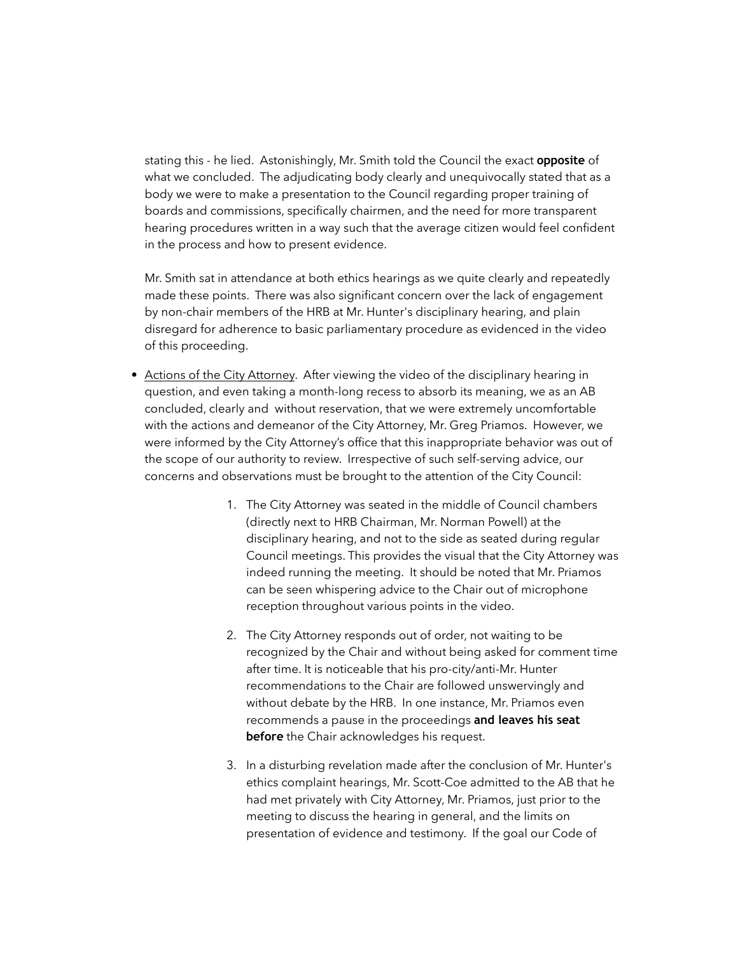stating this - he lied. Astonishingly, Mr. Smith told the Council the exact **opposite** of what we concluded. The adjudicating body clearly and unequivocally stated that as a body we were to make a presentation to the Council regarding proper training of boards and commissions, specifically chairmen, and the need for more transparent hearing procedures written in a way such that the average citizen would feel confident in the process and how to present evidence.

Mr. Smith sat in attendance at both ethics hearings as we quite clearly and repeatedly made these points. There was also significant concern over the lack of engagement by non-chair members of the HRB at Mr. Hunter's disciplinary hearing, and plain disregard for adherence to basic parliamentary procedure as evidenced in the video of this proceeding.

- Actions of the City Attorney. After viewing the video of the disciplinary hearing in question, and even taking a month-long recess to absorb its meaning, we as an AB concluded, clearly and without reservation, that we were extremely uncomfortable with the actions and demeanor of the City Attorney, Mr. Greg Priamos. However, we were informed by the City Attorney's office that this inappropriate behavior was out of the scope of our authority to review. Irrespective of such self-serving advice, our concerns and observations must be brought to the attention of the City Council:
	- 1. The City Attorney was seated in the middle of Council chambers (directly next to HRB Chairman, Mr. Norman Powell) at the disciplinary hearing, and not to the side as seated during regular Council meetings. This provides the visual that the City Attorney was indeed running the meeting. It should be noted that Mr. Priamos can be seen whispering advice to the Chair out of microphone reception throughout various points in the video.
	- 2. The City Attorney responds out of order, not waiting to be recognized by the Chair and without being asked for comment time after time. It is noticeable that his pro-city/anti-Mr. Hunter recommendations to the Chair are followed unswervingly and without debate by the HRB. In one instance, Mr. Priamos even recommends a pause in the proceedings **and leaves his seat before** the Chair acknowledges his request.
	- 3. In a disturbing revelation made after the conclusion of Mr. Hunter's ethics complaint hearings, Mr. Scott-Coe admitted to the AB that he had met privately with City Attorney, Mr. Priamos, just prior to the meeting to discuss the hearing in general, and the limits on presentation of evidence and testimony. If the goal our Code of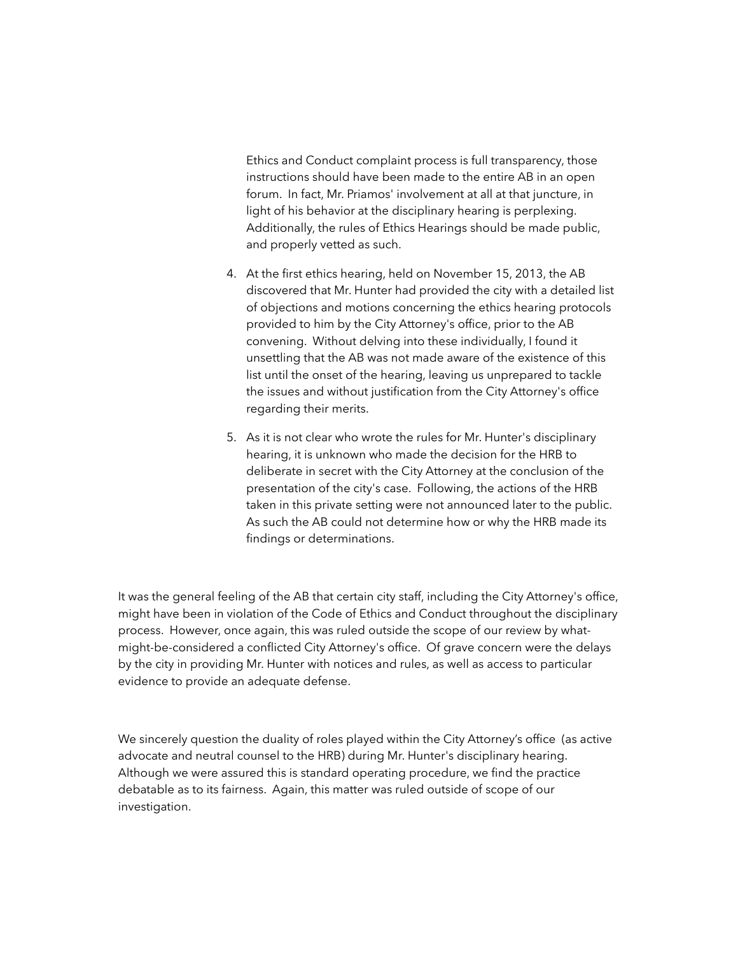Ethics and Conduct complaint process is full transparency, those instructions should have been made to the entire AB in an open forum. In fact, Mr. Priamos' involvement at all at that juncture, in light of his behavior at the disciplinary hearing is perplexing. Additionally, the rules of Ethics Hearings should be made public, and properly vetted as such.

- 4. At the first ethics hearing, held on November 15, 2013, the AB discovered that Mr. Hunter had provided the city with a detailed list of objections and motions concerning the ethics hearing protocols provided to him by the City Attorney's office, prior to the AB convening. Without delving into these individually, I found it unsettling that the AB was not made aware of the existence of this list until the onset of the hearing, leaving us unprepared to tackle the issues and without justification from the City Attorney's office regarding their merits.
- 5. As it is not clear who wrote the rules for Mr. Hunter's disciplinary hearing, it is unknown who made the decision for the HRB to deliberate in secret with the City Attorney at the conclusion of the presentation of the city's case. Following, the actions of the HRB taken in this private setting were not announced later to the public. As such the AB could not determine how or why the HRB made its findings or determinations.

It was the general feeling of the AB that certain city staff, including the City Attorney's office, might have been in violation of the Code of Ethics and Conduct throughout the disciplinary process. However, once again, this was ruled outside the scope of our review by whatmight-be-considered a conflicted City Attorney's office. Of grave concern were the delays by the city in providing Mr. Hunter with notices and rules, as well as access to particular evidence to provide an adequate defense.

We sincerely question the duality of roles played within the City Attorney's office (as active advocate and neutral counsel to the HRB) during Mr. Hunter's disciplinary hearing. Although we were assured this is standard operating procedure, we find the practice debatable as to its fairness. Again, this matter was ruled outside of scope of our investigation.